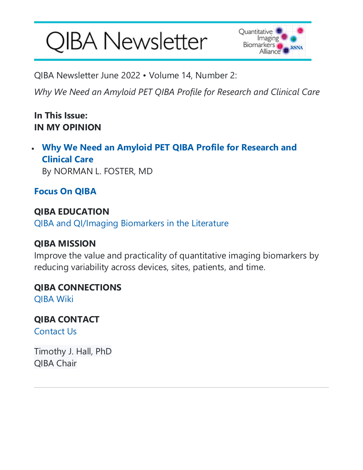# **QIBA Newsletter**



QIBA Newsletter June 2022 • Volume 14, Number 2:

*Why We Need an Amyloid PET QIBA Profile for Research and Clinical Care*

#### **In This Issue: IN MY OPINION**

• **Why We Need an Amyloid PET QIBA Profile for Research and Clinical Care** By NORMAN L. FOSTER, MD

**Focus On QIBA**

**QIBA EDUCATION** [QIBA and QI/Imaging Biomarkers in the Literature](http://qibawiki.rsna.org/index.php/Education)

#### **QIBA MISSION**

Improve the value and practicality of quantitative imaging biomarkers by reducing variability across devices, sites, patients, and time.

#### **QIBA CONNECTIONS**

[QIBA Wiki](http://qibawiki.rsna.org/)

**QIBA CONTACT** [Contact Us](mailto:qiba@rsna.org)

Timothy J. Hall, PhD QIBA Chair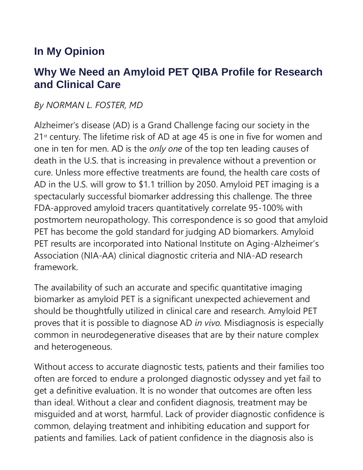## **In My Opinion**

### **Why We Need an Amyloid PET QIBA Profile for Research and Clinical Care**

#### *By NORMAN L. FOSTER, MD*

Alzheimer's disease (AD) is a Grand Challenge facing our society in the 21<sup>st</sup> century. The lifetime risk of AD at age 45 is one in five for women and one in ten for men. AD is the *only one* of the top ten leading causes of death in the U.S. that is increasing in prevalence without a prevention or cure. Unless more effective treatments are found, the health care costs of AD in the U.S. will grow to \$1.1 trillion by 2050. Amyloid PET imaging is a spectacularly successful biomarker addressing this challenge. The three FDA-approved amyloid tracers quantitatively correlate 95-100% with postmortem neuropathology. This correspondence is so good that amyloid PET has become the gold standard for judging AD biomarkers. Amyloid PET results are incorporated into National Institute on Aging-Alzheimer's Association (NIA-AA) clinical diagnostic criteria and NIA-AD research framework.

The availability of such an accurate and specific quantitative imaging biomarker as amyloid PET is a significant unexpected achievement and should be thoughtfully utilized in clinical care and research. Amyloid PET proves that it is possible to diagnose AD *in vivo*. Misdiagnosis is especially common in neurodegenerative diseases that are by their nature complex and heterogeneous.

Without access to accurate diagnostic tests, patients and their families too often are forced to endure a prolonged diagnostic odyssey and yet fail to get a definitive evaluation. It is no wonder that outcomes are often less than ideal. Without a clear and confident diagnosis, treatment may be misguided and at worst, harmful. Lack of provider diagnostic confidence is common, delaying treatment and inhibiting education and support for patients and families. Lack of patient confidence in the diagnosis also is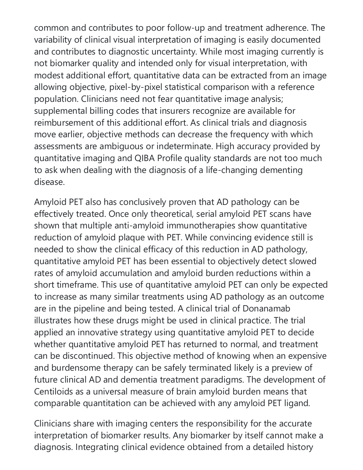common and contributes to poor follow-up and treatment adherence. The variability of clinical visual interpretation of imaging is easily documented and contributes to diagnostic uncertainty. While most imaging currently is not biomarker quality and intended only for visual interpretation, with modest additional effort, quantitative data can be extracted from an image allowing objective, pixel-by-pixel statistical comparison with a reference population. Clinicians need not fear quantitative image analysis; supplemental billing codes that insurers recognize are available for reimbursement of this additional effort. As clinical trials and diagnosis move earlier, objective methods can decrease the frequency with which assessments are ambiguous or indeterminate. High accuracy provided by quantitative imaging and QIBA Profile quality standards are not too much to ask when dealing with the diagnosis of a life-changing dementing disease.

Amyloid PET also has conclusively proven that AD pathology can be effectively treated. Once only theoretical, serial amyloid PET scans have shown that multiple anti-amyloid immunotherapies show quantitative reduction of amyloid plaque with PET. While convincing evidence still is needed to show the clinical efficacy of this reduction in AD pathology, quantitative amyloid PET has been essential to objectively detect slowed rates of amyloid accumulation and amyloid burden reductions within a short timeframe. This use of quantitative amyloid PET can only be expected to increase as many similar treatments using AD pathology as an outcome are in the pipeline and being tested. A clinical trial of Donanamab illustrates how these drugs might be used in clinical practice. The trial applied an innovative strategy using quantitative amyloid PET to decide whether quantitative amyloid PET has returned to normal, and treatment can be discontinued. This objective method of knowing when an expensive and burdensome therapy can be safely terminated likely is a preview of future clinical AD and dementia treatment paradigms. The development of Centiloids as a universal measure of brain amyloid burden means that comparable quantitation can be achieved with any amyloid PET ligand.

Clinicians share with imaging centers the responsibility for the accurate interpretation of biomarker results. Any biomarker by itself cannot make a diagnosis. Integrating clinical evidence obtained from a detailed history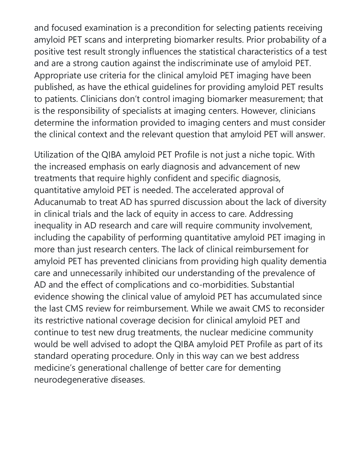and focused examination is a precondition for selecting patients receiving amyloid PET scans and interpreting biomarker results. Prior probability of a positive test result strongly influences the statistical characteristics of a test and are a strong caution against the indiscriminate use of amyloid PET. Appropriate use criteria for the clinical amyloid PET imaging have been published, as have the ethical guidelines for providing amyloid PET results to patients. Clinicians don't control imaging biomarker measurement; that is the responsibility of specialists at imaging centers. However, clinicians determine the information provided to imaging centers and must consider the clinical context and the relevant question that amyloid PET will answer.

Utilization of the QIBA amyloid PET Profile is not just a niche topic. With the increased emphasis on early diagnosis and advancement of new treatments that require highly confident and specific diagnosis, quantitative amyloid PET is needed. The accelerated approval of Aducanumab to treat AD has spurred discussion about the lack of diversity in clinical trials and the lack of equity in access to care. Addressing inequality in AD research and care will require community involvement, including the capability of performing quantitative amyloid PET imaging in more than just research centers. The lack of clinical reimbursement for amyloid PET has prevented clinicians from providing high quality dementia care and unnecessarily inhibited our understanding of the prevalence of AD and the effect of complications and co-morbidities. Substantial evidence showing the clinical value of amyloid PET has accumulated since the last CMS review for reimbursement. While we await CMS to reconsider its restrictive national coverage decision for clinical amyloid PET and continue to test new drug treatments, the nuclear medicine community would be well advised to adopt the QIBA amyloid PET Profile as part of its standard operating procedure. Only in this way can we best address medicine's generational challenge of better care for dementing neurodegenerative diseases.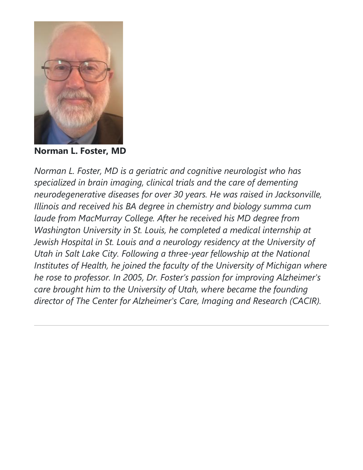

**Norman L. Foster, MD**

*Norman L. Foster, MD is a geriatric and cognitive neurologist who has specialized in brain imaging, clinical trials and the care of dementing neurodegenerative diseases for over 30 years. He was raised in Jacksonville, Illinois and received his BA degree in chemistry and biology summa cum laude from MacMurray College. After he received his MD degree from Washington University in St. Louis, he completed a medical internship at Jewish Hospital in St. Louis and a neurology residency at the University of Utah in Salt Lake City. Following a three-year fellowship at the National Institutes of Health, he joined the faculty of the University of Michigan where he rose to professor. In 2005, Dr. Foster's passion for improving Alzheimer's care brought him to the University of Utah, where became the founding director of The Center for Alzheimer's Care, Imaging and Research (CACIR).*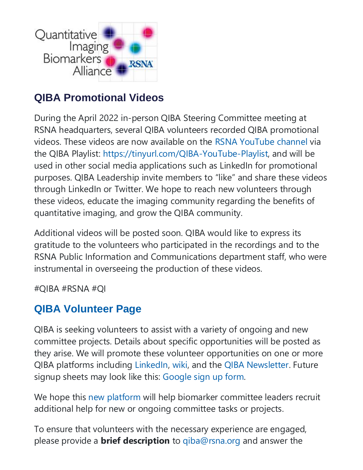

## **QIBA Promotional Videos**

During the April 2022 in-person QIBA Steering Committee meeting at RSNA headquarters, several QIBA volunteers recorded QIBA promotional videos. These videos are now available on the [RSNA YouTube channel](https://www.youtube.com/user/RSNAtube) via the QIBA Playlist: [https://tinyurl.com/QIBA-YouTube-Playlist,](https://tinyurl.com/QIBA-YouTube-Playlist) and will be used in other social media applications such as LinkedIn for promotional purposes. QIBA Leadership invite members to "like" and share these videos through LinkedIn or Twitter. We hope to reach new volunteers through these videos, educate the imaging community regarding the benefits of quantitative imaging, and grow the QIBA community.

Additional videos will be posted soon. QIBA would like to express its gratitude to the volunteers who participated in the recordings and to the RSNA Public Information and Communications department staff, who were instrumental in overseeing the production of these videos.

#QIBA #RSNA #QI

## **[QIBA Volunteer Page](https://qibawiki.rsna.org/index.php/QIBA_News)**

QIBA is seeking volunteers to assist with a variety of ongoing and new committee projects. Details about specific opportunities will be posted as they arise. We will promote these volunteer opportunities on one or more QIBA platforms including [LinkedIn,](https://www.linkedin.com/company/rsna-qiba) [wiki,](https://qibawiki.rsna.org/index.php/Main_Page) and the [QIBA Newsletter.](http://qibawiki.rsna.org/index.php/QIBA_News) Future signup sheets may look like this: [Google sign up form.](https://forms.gle/hEQootQfHUbG1AeB7)

We hope this [new platform](http://qibawiki.rsna.org/index.php/QIBA_News) will help biomarker committee leaders recruit additional help for new or ongoing committee tasks or projects.

To ensure that volunteers with the necessary experience are engaged, please provide a **brief description** to [qiba@rsna.org](mailto:qiba@rsna.org) and answer the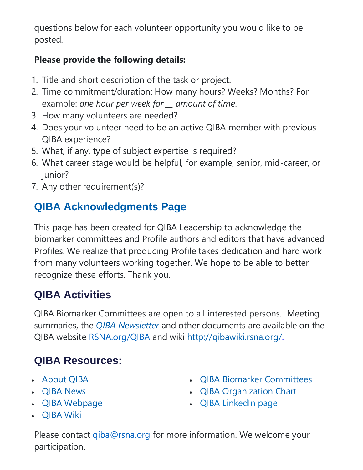questions below for each volunteer opportunity you would like to be posted.

#### **Please provide the following details:**

- 1. Title and short description of the task or project.
- 2. Time commitment/duration: How many hours? Weeks? Months? For example: *one hour per week for \_\_ amount of time*.
- 3. How many volunteers are needed?
- 4. Does your volunteer need to be an active QIBA member with previous QIBA experience?
- 5. What, if any, type of subject expertise is required?
- 6. What career stage would be helpful, for example, senior, mid-career, or junior?
- 7. Any other requirement(s)?

# **[QIBA Acknowledgments](https://qibawiki.rsna.org/index.php/QIBA_Acknowledgments) Page**

This page has been created for QIBA Leadership to acknowledge the biomarker committees and Profile authors and editors that have advanced Profiles. We realize that producing Profile takes dedication and hard work from many volunteers working together. We hope to be able to better recognize these efforts. Thank you.

# **QIBA Activities**

QIBA Biomarker Committees are open to all interested persons. Meeting summaries, the *[QIBA Newsletter](http://qibawiki.rsna.org/index.php/QIBA_News)* and other documents are available on the QIBA website <RSNA.org/QIBA> and wiki [http://qibawiki.rsna.org/.](http://qibawiki.rsna.org/)

# **QIBA Resources:**

- [About QIBA](https://qibawiki.rsna.org/index.php/About_QIBA)
- [QIBA News](http://qibawiki.rsna.org/index.php/QIBA_News)
- [QIBA Webpage](https://www.rsna.org/en/research/quantitative-imaging-biomarkers-alliance)
- [QIBA Wiki](http://qibawiki.rsna.org/)
- [QIBA Biomarker Committees](http://qibawiki.rsna.org/index.php/Committees)
- [QIBA Organization Chart](https://tinyurl.com/QIBA-Cmte-Org-Chart)
- [QIBA LinkedIn page](https://www.linkedin.com/company/rsna-qiba)

Please contact [qiba@rsna.org](mailto:qiba@rsna.org) for more information. We welcome your participation.